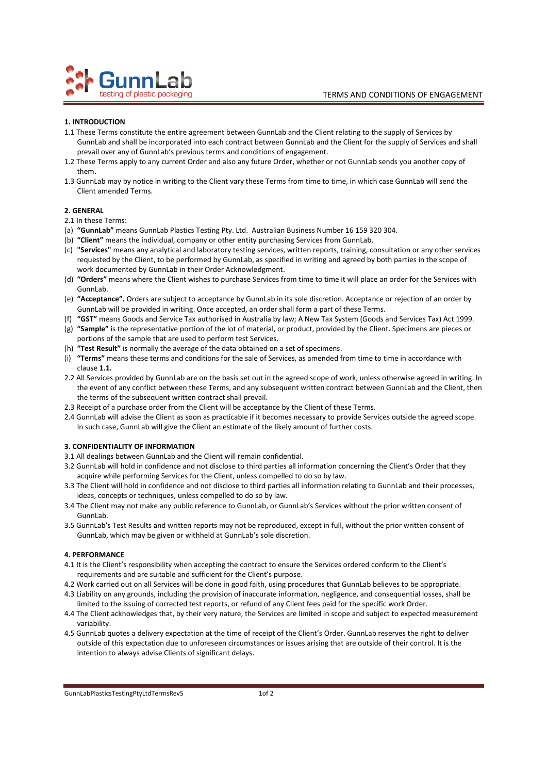

## **1. INTRODUCTION**

- 1.1 These Terms constitute the entire agreement between GunnLab and the Client relating to the supply of Services by GunnLab and shall be incorporated into each contract between GunnLab and the Client for the supply of Services and shall prevail over any of GunnLab's previous terms and conditions of engagement.
- 1.2 These Terms apply to any current Order and also any future Order, whether or not GunnLab sends you another copy of them.
- 1.3 GunnLab may by notice in writing to the Client vary these Terms from time to time, in which case GunnLab will send the Client amended Terms.

## **2. GENERAL**

- 2.1 In these Terms:
- (a) **"GunnLab"** means GunnLab Plastics Testing Pty. Ltd. Australian Business Number 16 159 320 304.
- (b) **"Client"** means the individual, company or other entity purchasing Services from GunnLab.
- (c) **"Services"** means any analytical and laboratory testing services, written reports, training, consultation or any other services requested by the Client, to be performed by GunnLab, as specified in writing and agreed by both parties in the scope of work documented by GunnLab in their Order Acknowledgment.
- (d) **"Orders"** means where the Client wishes to purchase Services from time to time it will place an order for the Services with GunnLab.
- (e) **"Acceptance".** Orders are subject to acceptance by GunnLab in its sole discretion. Acceptance or rejection of an order by GunnLab will be provided in writing. Once accepted, an order shall form a part of these Terms.
- (f) **"GST"** means Goods and Service Tax authorised in Australia by law; A New Tax System (Goods and Services Tax) Act 1999.
- (g) **"Sample"** is the representative portion of the lot of material, or product, provided by the Client. Specimens are pieces or portions of the sample that are used to perform test Services.
- (h) **"Test Result"** is normally the average of the data obtained on a set of specimens.
- (i) **"Terms"** means these terms and conditions for the sale of Services, as amended from time to time in accordance with clause **1.1.**
- 2.2 All Services provided by GunnLab are on the basis set out in the agreed scope of work, unless otherwise agreed in writing. In the event of any conflict between these Terms, and any subsequent written contract between GunnLab and the Client, then the terms of the subsequent written contract shall prevail.
- 2.3 Receipt of a purchase order from the Client will be acceptance by the Client of these Terms.
- 2.4 GunnLab will advise the Client as soon as practicable if it becomes necessary to provide Services outside the agreed scope. In such case, GunnLab will give the Client an estimate of the likely amount of further costs.

# **3. CONFIDENTIALITY OF INFORMATION**

- 3.1 All dealings between GunnLab and the Client will remain confidential.
- 3.2 GunnLab will hold in confidence and not disclose to third parties all information concerning the Client's Order that they acquire while performing Services for the Client, unless compelled to do so by law.
- 3.3 The Client will hold in confidence and not disclose to third parties all information relating to GunnLab and their processes, ideas, concepts or techniques, unless compelled to do so by law.
- 3.4 The Client may not make any public reference to GunnLab, or GunnLab's Services without the prior written consent of GunnLab.
- 3.5 GunnLab's Test Results and written reports may not be reproduced, except in full, without the prior written consent of GunnLab, which may be given or withheld at GunnLab's sole discretion.

# **4. PERFORMANCE**

- 4.1 It is the Client's responsibility when accepting the contract to ensure the Services ordered conform to the Client's requirements and are suitable and sufficient for the Client's purpose.
- 4.2 Work carried out on all Services will be done in good faith, using procedures that GunnLab believes to be appropriate.
- 4.3 Liability on any grounds, including the provision of inaccurate information, negligence, and consequential losses, shall be limited to the issuing of corrected test reports, or refund of any Client fees paid for the specific work Order.
- 4.4 The Client acknowledges that, by their very nature, the Services are limited in scope and subject to expected measurement variability.
- 4.5 GunnLab quotes a delivery expectation at the time of receipt of the Client's Order. GunnLab reserves the right to deliver outside of this expectation due to unforeseen circumstances or issues arising that are outside of their control. It is the intention to always advise Clients of significant delays.

#### GunnLabPlasticsTestingPtyLtdTermsRev5 10f 2